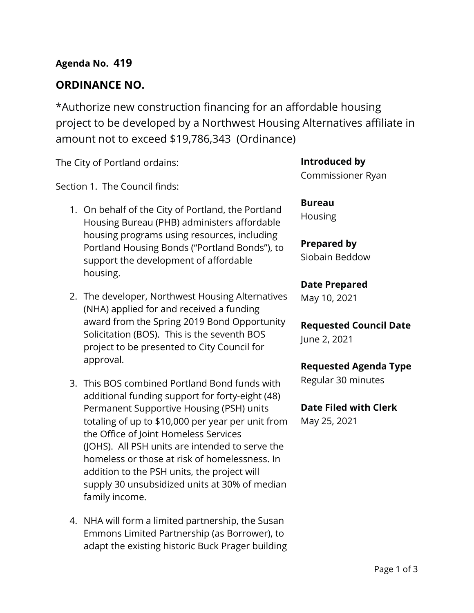# **ORDINANCE NO.**

\*Authorize new construction financing for an affordable housing project to be developed by a Northwest Housing Alternatives affiliate in amount not to exceed \$19,786,343 (Ordinance)

The City of Portland ordains:

Section 1. The Council finds:

- 1. On behalf of the City of Portland, the Portland Housing Bureau (PHB) administers affordable housing programs using resources, including Portland Housing Bonds ("Portland Bonds"), to support the development of affordable housing.
- 2. The developer, Northwest Housing Alternatives (NHA) applied for and received a funding award from the Spring 2019 Bond Opportunity Solicitation (BOS). This is the seventh BOS project to be presented to City Council for approval.
- 3. This BOS combined Portland Bond funds with additional funding support for forty-eight (48) Permanent Supportive Housing (PSH) units totaling of up to \$10,000 per year per unit from the Office of Joint Homeless Services (JOHS). All PSH units are intended to serve the homeless or those at risk of homelessness. In addition to the PSH units, the project will supply 30 unsubsidized units at 30% of median family income.
- 4. NHA will form a limited partnership, the Susan Emmons Limited Partnership (as Borrower), to adapt the existing historic Buck Prager building

**Introduced by** Commissioner Ryan

**Bureau** Housing

**Prepared by** Siobain Beddow

### **Date Prepared**

May 10, 2021

**Requested Council Date** June 2, 2021

### **Requested Agenda Type**

Regular 30 minutes

### **Date Filed with Clerk**

May 25, 2021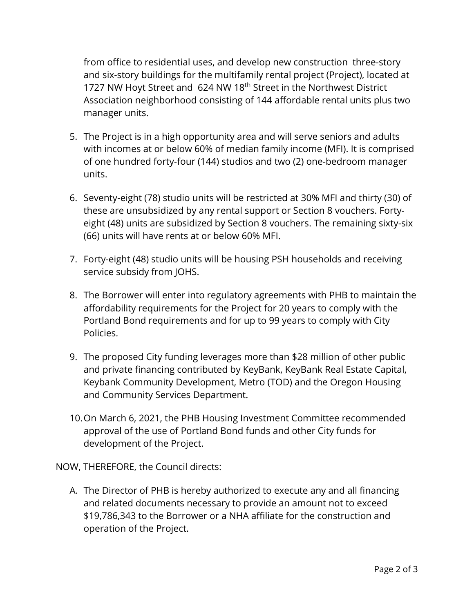from office to residential uses, and develop new construction three-story and six-story buildings for the multifamily rental project (Project), located at 1727 NW Hoyt Street and 624 NW 18<sup>th</sup> Street in the Northwest District Association neighborhood consisting of 144 affordable rental units plus two manager units.

- 5. The Project is in a high opportunity area and will serve seniors and adults with incomes at or below 60% of median family income (MFI). It is comprised of one hundred forty-four (144) studios and two (2) one-bedroom manager units.
- 6. Seventy-eight (78) studio units will be restricted at 30% MFI and thirty (30) of these are unsubsidized by any rental support or Section 8 vouchers. Fortyeight (48) units are subsidized by Section 8 vouchers. The remaining sixty-six (66) units will have rents at or below 60% MFI.
- 7. Forty-eight (48) studio units will be housing PSH households and receiving service subsidy from JOHS.
- 8. The Borrower will enter into regulatory agreements with PHB to maintain the affordability requirements for the Project for 20 years to comply with the Portland Bond requirements and for up to 99 years to comply with City Policies.
- 9. The proposed City funding leverages more than \$28 million of other public and private financing contributed by KeyBank, KeyBank Real Estate Capital, Keybank Community Development, Metro (TOD) and the Oregon Housing and Community Services Department.
- 10.On March 6, 2021, the PHB Housing Investment Committee recommended approval of the use of Portland Bond funds and other City funds for development of the Project.

NOW, THEREFORE, the Council directs:

A. The Director of PHB is hereby authorized to execute any and all financing and related documents necessary to provide an amount not to exceed \$19,786,343 to the Borrower or a NHA affiliate for the construction and operation of the Project.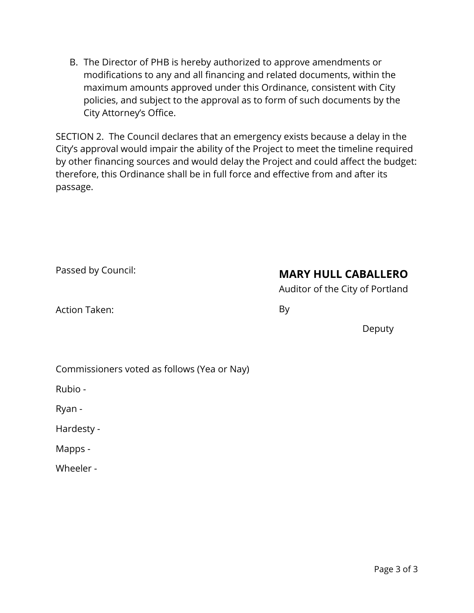B. The Director of PHB is hereby authorized to approve amendments or modifications to any and all financing and related documents, within the maximum amounts approved under this Ordinance, consistent with City policies, and subject to the approval as to form of such documents by the City Attorney's Office.

SECTION 2. The Council declares that an emergency exists because a delay in the City's approval would impair the ability of the Project to meet the timeline required by other financing sources and would delay the Project and could affect the budget: therefore, this Ordinance shall be in full force and effective from and after its passage.

|  |  | Passed by Council: |
|--|--|--------------------|
|--|--|--------------------|

# **MARY HULL CABALLERO**

Auditor of the City of Portland

Action Taken:

By

Deputy

Commissioners voted as follows (Yea or Nay)

Rubio -

Ryan -

Hardesty -

Mapps -

Wheeler -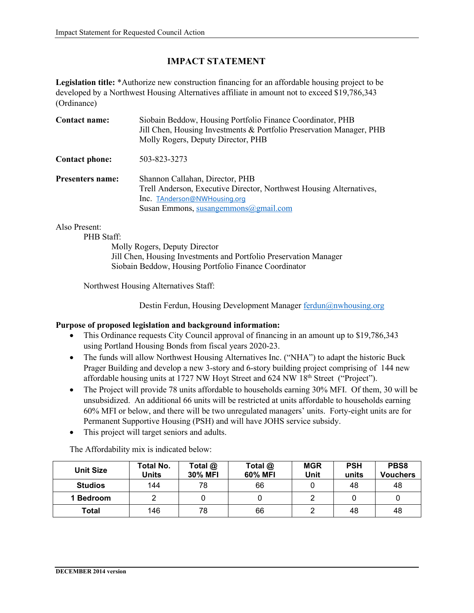### **IMPACT STATEMENT**

**Legislation title:** \*Authorize new construction financing for an affordable housing project to be developed by a Northwest Housing Alternatives affiliate in amount not to exceed \$19,786,343 (Ordinance)

| Contact name:           | Siobain Beddow, Housing Portfolio Finance Coordinator, PHB<br>Jill Chen, Housing Investments & Portfolio Preservation Manager, PHB<br>Molly Rogers, Deputy Director, PHB       |
|-------------------------|--------------------------------------------------------------------------------------------------------------------------------------------------------------------------------|
| <b>Contact phone:</b>   | 503-823-3273                                                                                                                                                                   |
| <b>Presenters name:</b> | Shannon Callahan, Director, PHB<br>Trell Anderson, Executive Director, Northwest Housing Alternatives,<br>Inc. TAnderson@NWHousing.org<br>Susan Emmons, susangemmons@gmail.com |

Also Present:

PHB Staff:

Molly Rogers, Deputy Director Jill Chen, Housing Investments and Portfolio Preservation Manager Siobain Beddow, Housing Portfolio Finance Coordinator

Northwest Housing Alternatives Staff:

Destin Ferdun, Housing Development Manager [ferdun@nwhousing.org](mailto:ferdun@nwhousing.org)

#### **Purpose of proposed legislation and background information:**

- This Ordinance requests City Council approval of financing in an amount up to \$19,786,343 using Portland Housing Bonds from fiscal years 2020-23.
- The funds will allow Northwest Housing Alternatives Inc. ("NHA") to adapt the historic Buck Prager Building and develop a new 3-story and 6-story building project comprising of 144 new affordable housing units at 1727 NW Hoyt Street and 624 NW 18<sup>th</sup> Street ("Project").
- The Project will provide 78 units affordable to households earning 30% MFI. Of them, 30 will be unsubsidized. An additional 66 units will be restricted at units affordable to households earning 60% MFI or below, and there will be two unregulated managers' units. Forty-eight units are for Permanent Supportive Housing (PSH) and will have JOHS service subsidy.
- This project will target seniors and adults.

The Affordability mix is indicated below:

| <b>Unit Size</b> | <b>Total No.</b><br>Units | Total @<br><b>30% MFI</b> | Total @<br>60% MFI | <b>MGR</b><br>Unit | <b>PSH</b><br>units | PBS8<br><b>Vouchers</b> |
|------------------|---------------------------|---------------------------|--------------------|--------------------|---------------------|-------------------------|
| <b>Studios</b>   | 144                       | 78                        | 66                 |                    | 48                  | 48                      |
| 1 Bedroom        |                           |                           |                    |                    |                     |                         |
| Total            | 146                       | 78                        | 66                 |                    | 48                  | 48                      |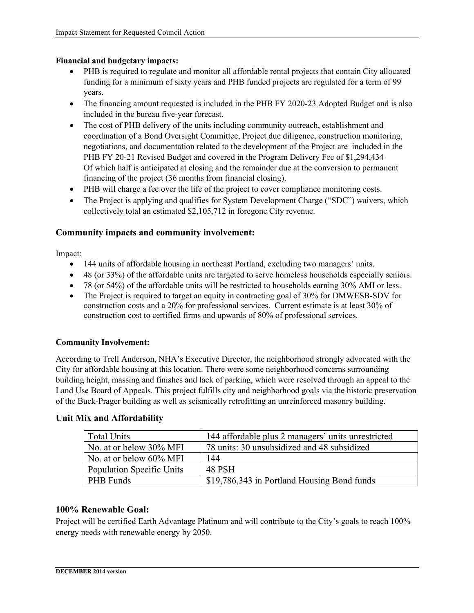#### **Financial and budgetary impacts:**

- PHB is required to regulate and monitor all affordable rental projects that contain City allocated funding for a minimum of sixty years and PHB funded projects are regulated for a term of 99 years.
- The financing amount requested is included in the PHB FY 2020-23 Adopted Budget and is also included in the bureau five-year forecast.
- The cost of PHB delivery of the units including community outreach, establishment and coordination of a Bond Oversight Committee, Project due diligence, construction monitoring, negotiations, and documentation related to the development of the Project are included in the PHB FY 20-21 Revised Budget and covered in the Program Delivery Fee of \$1,294,434 Of which half is anticipated at closing and the remainder due at the conversion to permanent financing of the project (36 months from financial closing).
- PHB will charge a fee over the life of the project to cover compliance monitoring costs.
- The Project is applying and qualifies for System Development Charge ("SDC") waivers, which collectively total an estimated \$2,105,712 in foregone City revenue.

#### **Community impacts and community involvement:**

Impact:

- 144 units of affordable housing in northeast Portland, excluding two managers' units.
- 48 (or 33%) of the affordable units are targeted to serve homeless households especially seniors.
- 78 (or 54%) of the affordable units will be restricted to households earning 30% AMI or less.
- The Project is required to target an equity in contracting goal of 30% for DMWESB-SDV for construction costs and a 20% for professional services. Current estimate is at least 30% of construction cost to certified firms and upwards of 80% of professional services.

#### **Community Involvement:**

According to Trell Anderson, NHA's Executive Director, the neighborhood strongly advocated with the City for affordable housing at this location. There were some neighborhood concerns surrounding building height, massing and finishes and lack of parking, which were resolved through an appeal to the Land Use Board of Appeals. This project fulfills city and neighborhood goals via the historic preservation of the Buck-Prager building as well as seismically retrofitting an unreinforced masonry building.

### Total Units 144 affordable plus 2 managers' units unrestricted No. at or below 30% MFI 78 units: 30 unsubsidized and 48 subsidized No. at or below  $60\%$  MFI 144 Population Specific Units | 48 PSH PHB Funds <br> **\$19,786,343** in Portland Housing Bond funds

#### **Unit Mix and Affordability**

#### **100% Renewable Goal:**

Project will be certified Earth Advantage Platinum and will contribute to the City's goals to reach 100% energy needs with renewable energy by 2050.